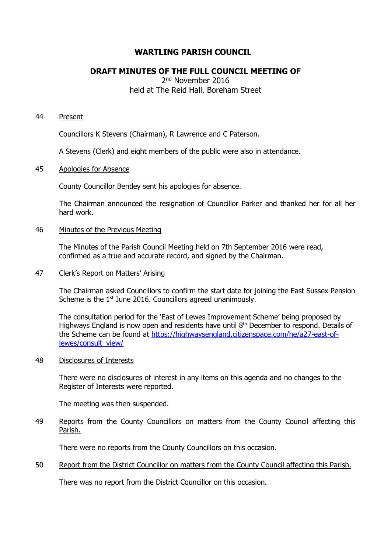## **WARTLING PARISH COUNCIL**

# **DRAFT MINUTES OF THE FULL COUNCIL MEETING OF**

## 2<sup>nd</sup> November 2016 held at The Reid Hall, Boreham Street

#### 44 Present

Councillors K Stevens (Chairman), R Lawrence and C Paterson.

A Stevens (Clerk) and eight members of the public were also in attendance.

## 45 Apologies for Absence

County Councillor Bentley sent his apologies for absence.

The Chairman announced the resignation of Councillor Parker and thanked her for all her hard work.

### 46 Minutes of the Previous Meeting

The Minutes of the Parish Council Meeting held on 7th September 2016 were read, confirmed as a true and accurate record, and signed by the Chairman.

## 47 Clerk's Report on Matters' Arising

The Chairman asked Councillors to confirm the start date for joining the East Sussex Pension Scheme is the  $1<sup>st</sup>$  June 2016. Councillors agreed unanimously.

The consultation period for the 'East of Lewes Improvement Scheme' being proposed by Highways England is now open and residents have until  $8<sup>th</sup>$  December to respond. Details of the Scheme can be found at [https://highwaysengland.citizenspace.com/he/a27-east-of](https://highwaysengland.citizenspace.com/he/a27-east-of-lewes/consult_view/)[lewes/consult\\_view/](https://highwaysengland.citizenspace.com/he/a27-east-of-lewes/consult_view/)

### 48 Disclosures of Interests

There were no disclosures of interest in any items on this agenda and no changes to the Register of Interests were reported.

The meeting was then suspended.

### 49 Reports from the County Councillors on matters from the County Council affecting this Parish.

There were no reports from the County Councillors on this occasion.

50 Report from the District Councillor on matters from the County Council affecting this Parish.

There was no report from the District Councillor on this occasion.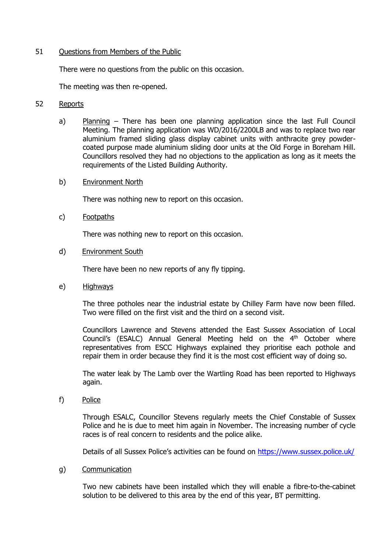## 51 Questions from Members of the Public

There were no questions from the public on this occasion.

The meeting was then re-opened.

## 52 Reports

- a) Planning There has been one planning application since the last Full Council Meeting. The planning application was WD/2016/2200LB and was to replace two rear aluminium framed sliding glass display cabinet units with anthracite grey powdercoated purpose made aluminium sliding door units at the Old Forge in Boreham Hill. Councillors resolved they had no objections to the application as long as it meets the requirements of the Listed Building Authority.
- b) Environment North

There was nothing new to report on this occasion.

c) Footpaths

There was nothing new to report on this occasion.

d) Environment South

There have been no new reports of any fly tipping.

e) Highways

The three potholes near the industrial estate by Chilley Farm have now been filled. Two were filled on the first visit and the third on a second visit.

Councillors Lawrence and Stevens attended the East Sussex Association of Local Council's (ESALC) Annual General Meeting held on the 4<sup>th</sup> October where representatives from ESCC Highways explained they prioritise each pothole and repair them in order because they find it is the most cost efficient way of doing so.

The water leak by The Lamb over the Wartling Road has been reported to Highways again.

f) Police

Through ESALC, Councillor Stevens regularly meets the Chief Constable of Sussex Police and he is due to meet him again in November. The increasing number of cycle races is of real concern to residents and the police alike.

Details of all Sussex Police's activities can be found on <https://www.sussex.police.uk/>

### g) Communication

Two new cabinets have been installed which they will enable a fibre-to-the-cabinet solution to be delivered to this area by the end of this year, BT permitting.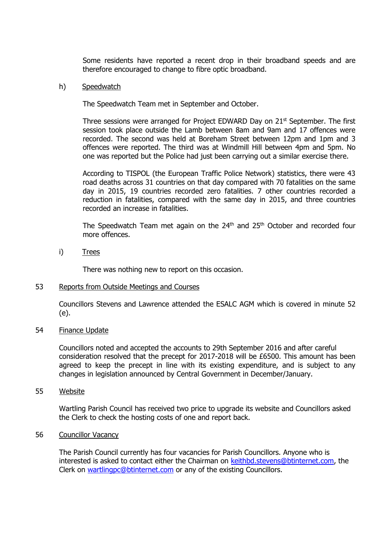Some residents have reported a recent drop in their broadband speeds and are therefore encouraged to change to fibre optic broadband.

#### h) Speedwatch

The Speedwatch Team met in September and October.

Three sessions were arranged for Project EDWARD Day on 21<sup>st</sup> September. The first session took place outside the Lamb between 8am and 9am and 17 offences were recorded. The second was held at Boreham Street between 12pm and 1pm and 3 offences were reported. The third was at Windmill Hill between 4pm and 5pm. No one was reported but the Police had just been carrying out a similar exercise there.

According to TISPOL (the European Traffic Police Network) statistics, there were 43 road deaths across 31 countries on that day compared with 70 fatalities on the same day in 2015, 19 countries recorded zero fatalities. 7 other countries recorded a reduction in fatalities, compared with the same day in 2015, and three countries recorded an increase in fatalities.

The Speedwatch Team met again on the  $24<sup>th</sup>$  and  $25<sup>th</sup>$  October and recorded four more offences.

i) Trees

There was nothing new to report on this occasion.

#### 53 Reports from Outside Meetings and Courses

Councillors Stevens and Lawrence attended the ESALC AGM which is covered in minute 52 (e).

### 54 Finance Update

Councillors noted and accepted the accounts to 29th September 2016 and after careful consideration resolved that the precept for 2017-2018 will be £6500. This amount has been agreed to keep the precept in line with its existing expenditure, and is subject to any changes in legislation announced by Central Government in December/January.

## 55 Website

Wartling Parish Council has received two price to upgrade its website and Councillors asked the Clerk to check the hosting costs of one and report back.

## 56 Councillor Vacancy

The Parish Council currently has four vacancies for Parish Councillors. Anyone who is interested is asked to contact either the Chairman on [keithbd.stevens@btinternet.com,](mailto:keithbd.stevens@btinternet.com) the Clerk on [wartlingpc@btinternet.com](mailto:wartlingpc@btinternet.com) or any of the existing Councillors.